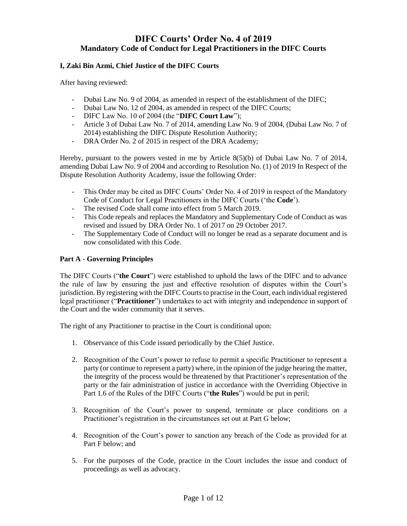# **DIFC Courts' Order No. 4 of 2019 Mandatory Code of Conduct for Legal Practitioners in the DIFC Courts**

## **I, Zaki Bin Azmi, Chief Justice of the DIFC Courts**

After having reviewed:

- Dubai Law No. 9 of 2004, as amended in respect of the establishment of the DIFC;
- Dubai Law No. 12 of 2004, as amended in respect of the DIFC Courts;
- DIFC Law No. 10 of 2004 (the "**DIFC Court Law**");
- Article 3 of Dubai Law No. 7 of 2014, amending Law No. 9 of 2004, (Dubai Law No. 7 of 2014) establishing the DIFC Dispute Resolution Authority;
- DRA Order No. 2 of 2015 in respect of the DRA Academy;

Hereby, pursuant to the powers vested in me by Article 8(5)(b) of Dubai Law No. 7 of 2014, amending Dubai Law No. 9 of 2004 and according to Resolution No. (1) of 2019 In Respect of the Dispute Resolution Authority Academy, issue the following Order:

- This Order may be cited as DIFC Courts' Order No. 4 of 2019 in respect of the Mandatory Code of Conduct for Legal Practitioners in the DIFC Courts ('the **Code**').
- The revised Code shall come into effect from 5 March 2019.
- This Code repeals and replaces the Mandatory and Supplementary Code of Conduct as was revised and issued by DRA Order No. 1 of 2017 on 29 October 2017.
- The Supplementary Code of Conduct will no longer be read as a separate document and is now consolidated with this Code.

### **Part A - Governing Principles**

The DIFC Courts ("**the Court**") were established to uphold the laws of the DIFC and to advance the rule of law by ensuring the just and effective resolution of disputes within the Court's jurisdiction. By registering with the DIFC Courts to practise in the Court, each individual registered legal practitioner ("**Practitioner**") undertakes to act with integrity and independence in support of the Court and the wider community that it serves.

The right of any Practitioner to practise in the Court is conditional upon:

- 1. Observance of this Code issued periodically by the Chief Justice.
- 2. Recognition of the Court's power to refuse to permit a specific Practitioner to represent a party (or continue to represent a party) where, in the opinion of the judge hearing the matter, the integrity of the process would be threatened by that Practitioner's representation of the party or the fair administration of justice in accordance with the Overriding Objective in Part 1.6 of the Rules of the DIFC Courts ("**the Rules**") would be put in peril;
- 3. Recognition of the Court's power to suspend, terminate or place conditions on a Practitioner's registration in the circumstances set out at Part G below;
- 4. Recognition of the Court's power to sanction any breach of the Code as provided for at Part F below; and
- 5. For the purposes of the Code, practice in the Court includes the issue and conduct of proceedings as well as advocacy.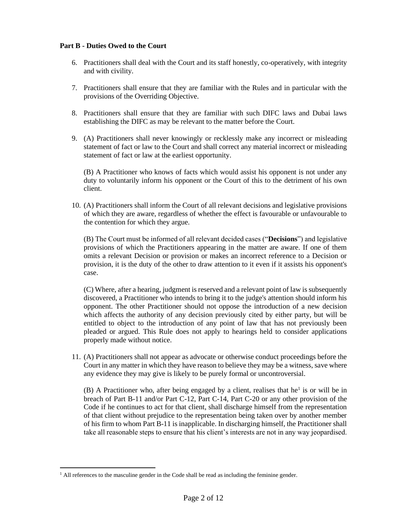### **Part B - Duties Owed to the Court**

- 6. Practitioners shall deal with the Court and its staff honestly, co-operatively, with integrity and with civility.
- 7. Practitioners shall ensure that they are familiar with the Rules and in particular with the provisions of the Overriding Objective.
- 8. Practitioners shall ensure that they are familiar with such DIFC laws and Dubai laws establishing the DIFC as may be relevant to the matter before the Court.
- 9. (A) Practitioners shall never knowingly or recklessly make any incorrect or misleading statement of fact or law to the Court and shall correct any material incorrect or misleading statement of fact or law at the earliest opportunity.

(B) A Practitioner who knows of facts which would assist his opponent is not under any duty to voluntarily inform his opponent or the Court of this to the detriment of his own client.

10. (A) Practitioners shall inform the Court of all relevant decisions and legislative provisions of which they are aware, regardless of whether the effect is favourable or unfavourable to the contention for which they argue.

(B) The Court must be informed of all relevant decided cases ("**Decisions**") and legislative provisions of which the Practitioners appearing in the matter are aware. If one of them omits a relevant Decision or provision or makes an incorrect reference to a Decision or provision, it is the duty of the other to draw attention to it even if it assists his opponent's case.

(C) Where, after a hearing, judgment is reserved and a relevant point of law is subsequently discovered, a Practitioner who intends to bring it to the judge's attention should inform his opponent. The other Practitioner should not oppose the introduction of a new decision which affects the authority of any decision previously cited by either party, but will be entitled to object to the introduction of any point of law that has not previously been pleaded or argued. This Rule does not apply to hearings held to consider applications properly made without notice.

11. (A) Practitioners shall not appear as advocate or otherwise conduct proceedings before the Court in any matter in which they have reason to believe they may be a witness, save where any evidence they may give is likely to be purely formal or uncontroversial.

(B) A Practitioner who, after being engaged by a client, realises that  $he<sup>1</sup>$  is or will be in breach of Part B-11 and/or Part C-12, Part C-14, Part C-20 or any other provision of the Code if he continues to act for that client, shall discharge himself from the representation of that client without prejudice to the representation being taken over by another member of his firm to whom Part B-11 is inapplicable. In discharging himself, the Practitioner shall take all reasonable steps to ensure that his client's interests are not in any way jeopardised.

 $<sup>1</sup>$  All references to the masculine gender in the Code shall be read as including the feminine gender.</sup>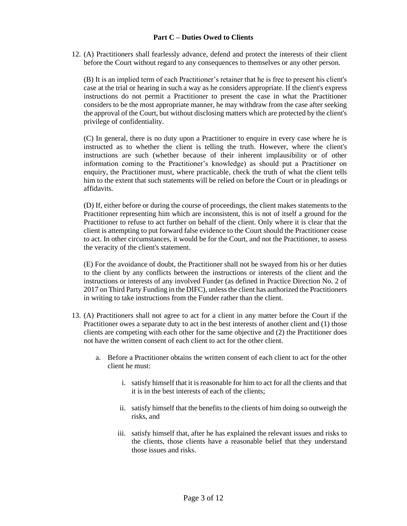#### **Part C – Duties Owed to Clients**

12. (A) Practitioners shall fearlessly advance, defend and protect the interests of their client before the Court without regard to any consequences to themselves or any other person.

(B) It is an implied term of each Practitioner's retainer that he is free to present his client's case at the trial or hearing in such a way as he considers appropriate. If the client's express instructions do not permit a Practitioner to present the case in what the Practitioner considers to be the most appropriate manner, he may withdraw from the case after seeking the approval of the Court, but without disclosing matters which are protected by the client's privilege of confidentiality.

(C) In general, there is no duty upon a Practitioner to enquire in every case where he is instructed as to whether the client is telling the truth. However, where the client's instructions are such (whether because of their inherent implausibility or of other information coming to the Practitioner's knowledge) as should put a Practitioner on enquiry, the Practitioner must, where practicable, check the truth of what the client tells him to the extent that such statements will be relied on before the Court or in pleadings or affidavits.

(D) If, either before or during the course of proceedings, the client makes statements to the Practitioner representing him which are inconsistent, this is not of itself a ground for the Practitioner to refuse to act further on behalf of the client. Only where it is clear that the client is attempting to put forward false evidence to the Court should the Practitioner cease to act. In other circumstances, it would be for the Court, and not the Practitioner, to assess the veracity of the client's statement.

(E) For the avoidance of doubt, the Practitioner shall not be swayed from his or her duties to the client by any conflicts between the instructions or interests of the client and the instructions or interests of any involved Funder (as defined in Practice Direction No. 2 of 2017 on Third Party Funding in the DIFC), unless the client has authorized the Practitioners in writing to take instructions from the Funder rather than the client.

- 13. (A) Practitioners shall not agree to act for a client in any matter before the Court if the Practitioner owes a separate duty to act in the best interests of another client and (1) those clients are competing with each other for the same objective and (2) the Practitioner does not have the written consent of each client to act for the other client.
	- a. Before a Practitioner obtains the written consent of each client to act for the other client he must:
		- i. satisfy himself that it is reasonable for him to act for all the clients and that it is in the best interests of each of the clients;
		- ii. satisfy himself that the benefits to the clients of him doing so outweigh the risks, and
		- iii. satisfy himself that, after he has explained the relevant issues and risks to the clients, those clients have a reasonable belief that they understand those issues and risks.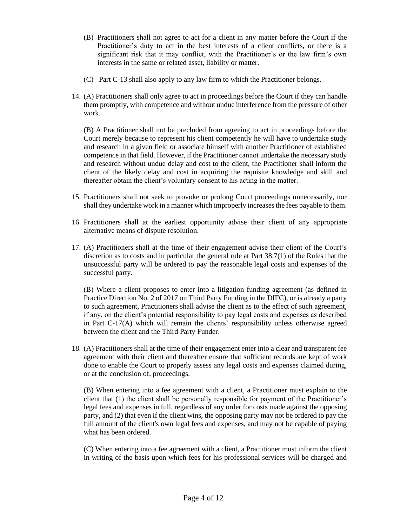- (B) Practitioners shall not agree to act for a client in any matter before the Court if the Practitioner's duty to act in the best interests of a client conflicts, or there is a significant risk that it may conflict, with the Practitioner's or the law firm's own interests in the same or related asset, liability or matter.
- (C) Part C-13 shall also apply to any law firm to which the Practitioner belongs.
- 14. (A) Practitioners shall only agree to act in proceedings before the Court if they can handle them promptly, with competence and without undue interference from the pressure of other work.

(B) A Practitioner shall not be precluded from agreeing to act in proceedings before the Court merely because to represent his client competently he will have to undertake study and research in a given field or associate himself with another Practitioner of established competence in that field. However, if the Practitioner cannot undertake the necessary study and research without undue delay and cost to the client, the Practitioner shall inform the client of the likely delay and cost in acquiring the requisite knowledge and skill and thereafter obtain the client's voluntary consent to his acting in the matter.

- 15. Practitioners shall not seek to provoke or prolong Court proceedings unnecessarily, nor shall they undertake work in a manner which improperly increases the fees payable to them.
- 16. Practitioners shall at the earliest opportunity advise their client of any appropriate alternative means of dispute resolution.
- 17. (A) Practitioners shall at the time of their engagement advise their client of the Court's discretion as to costs and in particular the general rule at Part 38.7(1) of the Rules that the unsuccessful party will be ordered to pay the reasonable legal costs and expenses of the successful party.

(B) Where a client proposes to enter into a litigation funding agreement (as defined in Practice Direction No. 2 of 2017 on Third Party Funding in the DIFC), or is already a party to such agreement, Practitioners shall advise the client as to the effect of such agreement, if any, on the client's potential responsibility to pay legal costs and expenses as described in Part C-17(A) which will remain the clients' responsibility unless otherwise agreed between the client and the Third Party Funder.

18. (A) Practitioners shall at the time of their engagement enter into a clear and transparent fee agreement with their client and thereafter ensure that sufficient records are kept of work done to enable the Court to properly assess any legal costs and expenses claimed during, or at the conclusion of, proceedings.

(B) When entering into a fee agreement with a client, a Practitioner must explain to the client that (1) the client shall be personally responsible for payment of the Practitioner's legal fees and expenses in full, regardless of any order for costs made against the opposing party, and (2) that even if the client wins, the opposing party may not be ordered to pay the full amount of the client's own legal fees and expenses, and may not be capable of paying what has been ordered.

(C) When entering into a fee agreement with a client, a Practitioner must inform the client in writing of the basis upon which fees for his professional services will be charged and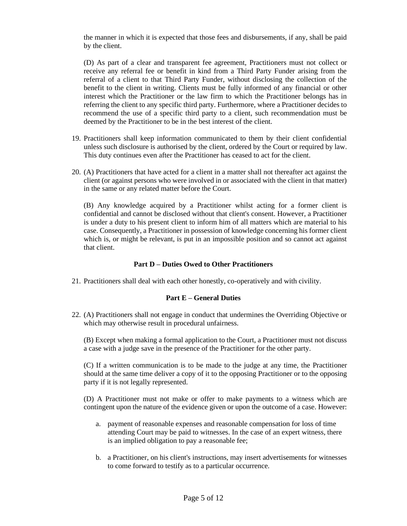the manner in which it is expected that those fees and disbursements, if any, shall be paid by the client.

(D) As part of a clear and transparent fee agreement, Practitioners must not collect or receive any referral fee or benefit in kind from a Third Party Funder arising from the referral of a client to that Third Party Funder, without disclosing the collection of the benefit to the client in writing. Clients must be fully informed of any financial or other interest which the Practitioner or the law firm to which the Practitioner belongs has in referring the client to any specific third party. Furthermore, where a Practitioner decides to recommend the use of a specific third party to a client, such recommendation must be deemed by the Practitioner to be in the best interest of the client.

- 19. Practitioners shall keep information communicated to them by their client confidential unless such disclosure is authorised by the client, ordered by the Court or required by law. This duty continues even after the Practitioner has ceased to act for the client.
- 20. (A) Practitioners that have acted for a client in a matter shall not thereafter act against the client (or against persons who were involved in or associated with the client in that matter) in the same or any related matter before the Court.

(B) Any knowledge acquired by a Practitioner whilst acting for a former client is confidential and cannot be disclosed without that client's consent. However, a Practitioner is under a duty to his present client to inform him of all matters which are material to his case. Consequently, a Practitioner in possession of knowledge concerning his former client which is, or might be relevant, is put in an impossible position and so cannot act against that client.

#### **Part D – Duties Owed to Other Practitioners**

21. Practitioners shall deal with each other honestly, co-operatively and with civility.

#### **Part E – General Duties**

22. (A) Practitioners shall not engage in conduct that undermines the Overriding Objective or which may otherwise result in procedural unfairness.

(B) Except when making a formal application to the Court, a Practitioner must not discuss a case with a judge save in the presence of the Practitioner for the other party.

(C) If a written communication is to be made to the judge at any time, the Practitioner should at the same time deliver a copy of it to the opposing Practitioner or to the opposing party if it is not legally represented.

(D) A Practitioner must not make or offer to make payments to a witness which are contingent upon the nature of the evidence given or upon the outcome of a case. However:

- a. payment of reasonable expenses and reasonable compensation for loss of time attending Court may be paid to witnesses. In the case of an expert witness, there is an implied obligation to pay a reasonable fee;
- b. a Practitioner, on his client's instructions, may insert advertisements for witnesses to come forward to testify as to a particular occurrence.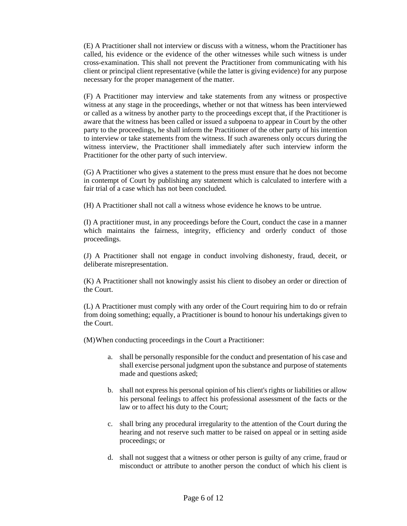(E) A Practitioner shall not interview or discuss with a witness, whom the Practitioner has called, his evidence or the evidence of the other witnesses while such witness is under cross-examination. This shall not prevent the Practitioner from communicating with his client or principal client representative (while the latter is giving evidence) for any purpose necessary for the proper management of the matter.

(F) A Practitioner may interview and take statements from any witness or prospective witness at any stage in the proceedings, whether or not that witness has been interviewed or called as a witness by another party to the proceedings except that, if the Practitioner is aware that the witness has been called or issued a subpoena to appear in Court by the other party to the proceedings, he shall inform the Practitioner of the other party of his intention to interview or take statements from the witness. If such awareness only occurs during the witness interview, the Practitioner shall immediately after such interview inform the Practitioner for the other party of such interview.

(G) A Practitioner who gives a statement to the press must ensure that he does not become in contempt of Court by publishing any statement which is calculated to interfere with a fair trial of a case which has not been concluded.

(H) A Practitioner shall not call a witness whose evidence he knows to be untrue.

(I) A practitioner must, in any proceedings before the Court, conduct the case in a manner which maintains the fairness, integrity, efficiency and orderly conduct of those proceedings.

(J) A Practitioner shall not engage in conduct involving dishonesty, fraud, deceit, or deliberate misrepresentation.

(K) A Practitioner shall not knowingly assist his client to disobey an order or direction of the Court.

(L) A Practitioner must comply with any order of the Court requiring him to do or refrain from doing something; equally, a Practitioner is bound to honour his undertakings given to the Court.

(M)When conducting proceedings in the Court a Practitioner:

- a. shall be personally responsible for the conduct and presentation of his case and shall exercise personal judgment upon the substance and purpose of statements made and questions asked;
- b. shall not express his personal opinion of his client's rights or liabilities or allow his personal feelings to affect his professional assessment of the facts or the law or to affect his duty to the Court;
- c. shall bring any procedural irregularity to the attention of the Court during the hearing and not reserve such matter to be raised on appeal or in setting aside proceedings; or
- d. shall not suggest that a witness or other person is guilty of any crime, fraud or misconduct or attribute to another person the conduct of which his client is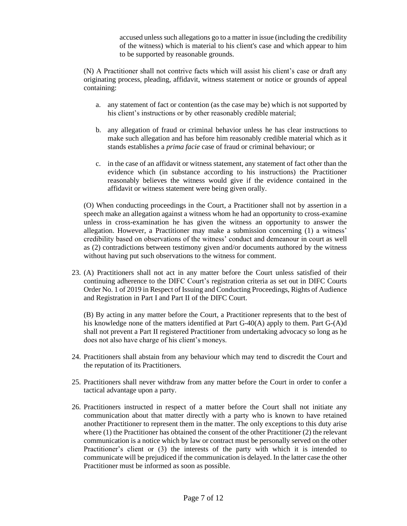accused unless such allegations go to a matter in issue (including the credibility of the witness) which is material to his client's case and which appear to him to be supported by reasonable grounds.

(N) A Practitioner shall not contrive facts which will assist his client's case or draft any originating process, pleading, affidavit, witness statement or notice or grounds of appeal containing:

- a. any statement of fact or contention (as the case may be) which is not supported by his client's instructions or by other reasonably credible material;
- b. any allegation of fraud or criminal behavior unless he has clear instructions to make such allegation and has before him reasonably credible material which as it stands establishes a *prima facie* case of fraud or criminal behaviour; or
- c. in the case of an affidavit or witness statement, any statement of fact other than the evidence which (in substance according to his instructions) the Practitioner reasonably believes the witness would give if the evidence contained in the affidavit or witness statement were being given orally.

(O) When conducting proceedings in the Court, a Practitioner shall not by assertion in a speech make an allegation against a witness whom he had an opportunity to cross-examine unless in cross-examination he has given the witness an opportunity to answer the allegation. However, a Practitioner may make a submission concerning (1) a witness' credibility based on observations of the witness' conduct and demeanour in court as well as (2) contradictions between testimony given and/or documents authored by the witness without having put such observations to the witness for comment.

23. (A) Practitioners shall not act in any matter before the Court unless satisfied of their continuing adherence to the DIFC Court's registration criteria as set out in DIFC Courts Order No. 1 of 2019 in Respect of Issuing and Conducting Proceedings, Rights of Audience and Registration in Part I and Part II of the DIFC Court.

(B) By acting in any matter before the Court, a Practitioner represents that to the best of his knowledge none of the matters identified at Part G-40(A) apply to them. Part G-(A)d shall not prevent a Part II registered Practitioner from undertaking advocacy so long as he does not also have charge of his client's moneys.

- 24. Practitioners shall abstain from any behaviour which may tend to discredit the Court and the reputation of its Practitioners.
- 25. Practitioners shall never withdraw from any matter before the Court in order to confer a tactical advantage upon a party.
- 26. Practitioners instructed in respect of a matter before the Court shall not initiate any communication about that matter directly with a party who is known to have retained another Practitioner to represent them in the matter. The only exceptions to this duty arise where (1) the Practitioner has obtained the consent of the other Practitioner (2) the relevant communication is a notice which by law or contract must be personally served on the other Practitioner's client or (3) the interests of the party with which it is intended to communicate will be prejudiced if the communication is delayed. In the latter case the other Practitioner must be informed as soon as possible.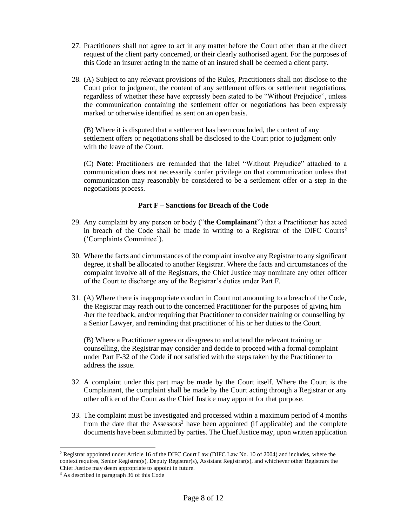- 27. Practitioners shall not agree to act in any matter before the Court other than at the direct request of the client party concerned, or their clearly authorised agent. For the purposes of this Code an insurer acting in the name of an insured shall be deemed a client party.
- 28. (A) Subject to any relevant provisions of the Rules, Practitioners shall not disclose to the Court prior to judgment, the content of any settlement offers or settlement negotiations, regardless of whether these have expressly been stated to be "Without Prejudice", unless the communication containing the settlement offer or negotiations has been expressly marked or otherwise identified as sent on an open basis.

(B) Where it is disputed that a settlement has been concluded, the content of any settlement offers or negotiations shall be disclosed to the Court prior to judgment only with the leave of the Court.

(C) **Note**: Practitioners are reminded that the label "Without Prejudice" attached to a communication does not necessarily confer privilege on that communication unless that communication may reasonably be considered to be a settlement offer or a step in the negotiations process.

#### **Part F – Sanctions for Breach of the Code**

- 29. Any complaint by any person or body ("**the Complainant**") that a Practitioner has acted in breach of the Code shall be made in writing to a Registrar of the DIFC Courts<sup>2</sup> ('Complaints Committee').
- 30. Where the facts and circumstances of the complaint involve any Registrar to any significant degree, it shall be allocated to another Registrar. Where the facts and circumstances of the complaint involve all of the Registrars, the Chief Justice may nominate any other officer of the Court to discharge any of the Registrar's duties under Part F.
- 31. (A) Where there is inappropriate conduct in Court not amounting to a breach of the Code, the Registrar may reach out to the concerned Practitioner for the purposes of giving him /her the feedback, and/or requiring that Practitioner to consider training or counselling by a Senior Lawyer, and reminding that practitioner of his or her duties to the Court.

(B) Where a Practitioner agrees or disagrees to and attend the relevant training or counselling, the Registrar may consider and decide to proceed with a formal complaint under Part F-32 of the Code if not satisfied with the steps taken by the Practitioner to address the issue.

- 32. A complaint under this part may be made by the Court itself. Where the Court is the Complainant, the complaint shall be made by the Court acting through a Registrar or any other officer of the Court as the Chief Justice may appoint for that purpose.
- 33. The complaint must be investigated and processed within a maximum period of 4 months from the date that the Assessors<sup>3</sup> have been appointed (if applicable) and the complete documents have been submitted by parties. The Chief Justice may, upon written application

<sup>&</sup>lt;sup>2</sup> Registrar appointed under Article 16 of the DIFC Court Law (DIFC Law No. 10 of 2004) and includes, where the context requires, Senior Registrar(s), Deputy Registrar(s), Assistant Registrar(s), and whichever other Registrars the Chief Justice may deem appropriate to appoint in future.

<sup>&</sup>lt;sup>3</sup> As described in paragraph 36 of this Code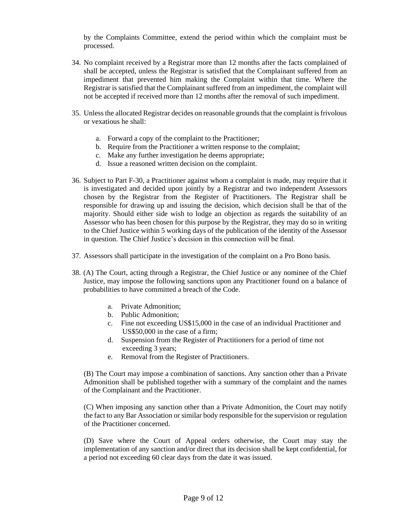by the Complaints Committee, extend the period within which the complaint must be processed.

- 34. No complaint received by a Registrar more than 12 months after the facts complained of shall be accepted, unless the Registrar is satisfied that the Complainant suffered from an impediment that prevented him making the Complaint within that time. Where the Registrar is satisfied that the Complainant suffered from an impediment, the complaint will not be accepted if received more than 12 months after the removal of such impediment.
- 35. Unless the allocated Registrar decides on reasonable grounds that the complaint is frivolous or vexatious he shall:
	- a. Forward a copy of the complaint to the Practitioner;
	- b. Require from the Practitioner a written response to the complaint;
	- c. Make any further investigation he deems appropriate;
	- d. Issue a reasoned written decision on the complaint.
- 36. Subject to Part F-30, a Practitioner against whom a complaint is made, may require that it is investigated and decided upon jointly by a Registrar and two independent Assessors chosen by the Registrar from the Register of Practitioners. The Registrar shall be responsible for drawing up and issuing the decision, which decision shall be that of the majority. Should either side wish to lodge an objection as regards the suitability of an Assessor who has been chosen for this purpose by the Registrar, they may do so in writing to the Chief Justice within 5 working days of the publication of the identity of the Assessor in question. The Chief Justice's decision in this connection will be final.
- 37. Assessors shall participate in the investigation of the complaint on a Pro Bono basis.
- 38. (A) The Court, acting through a Registrar, the Chief Justice or any nominee of the Chief Justice, may impose the following sanctions upon any Practitioner found on a balance of probabilities to have committed a breach of the Code.
	- a. Private Admonition;
	- b. Public Admonition;
	- c. Fine not exceeding US\$15,000 in the case of an individual Practitioner and US\$50,000 in the case of a firm;
	- d. Suspension from the Register of Practitioners for a period of time not exceeding 3 years;
	- e. Removal from the Register of Practitioners.

(B) The Court may impose a combination of sanctions. Any sanction other than a Private Admonition shall be published together with a summary of the complaint and the names of the Complainant and the Practitioner.

(C) When imposing any sanction other than a Private Admonition, the Court may notify the fact to any Bar Association or similar body responsible for the supervision or regulation of the Practitioner concerned.

(D) Save where the Court of Appeal orders otherwise, the Court may stay the implementation of any sanction and/or direct that its decision shall be kept confidential, for a period not exceeding 60 clear days from the date it was issued.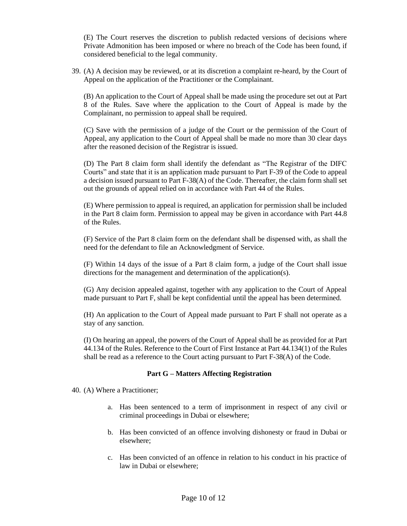(E) The Court reserves the discretion to publish redacted versions of decisions where Private Admonition has been imposed or where no breach of the Code has been found, if considered beneficial to the legal community.

39. (A) A decision may be reviewed, or at its discretion a complaint re-heard, by the Court of Appeal on the application of the Practitioner or the Complainant.

(B) An application to the Court of Appeal shall be made using the procedure set out at Part 8 of the Rules. Save where the application to the Court of Appeal is made by the Complainant, no permission to appeal shall be required.

(C) Save with the permission of a judge of the Court or the permission of the Court of Appeal, any application to the Court of Appeal shall be made no more than 30 clear days after the reasoned decision of the Registrar is issued.

(D) The Part 8 claim form shall identify the defendant as "The Registrar of the DIFC Courts" and state that it is an application made pursuant to Part F-39 of the Code to appeal a decision issued pursuant to Part F-38(A) of the Code. Thereafter, the claim form shall set out the grounds of appeal relied on in accordance with Part 44 of the Rules.

(E) Where permission to appeal is required, an application for permission shall be included in the Part 8 claim form. Permission to appeal may be given in accordance with Part 44.8 of the Rules.

(F) Service of the Part 8 claim form on the defendant shall be dispensed with, as shall the need for the defendant to file an Acknowledgment of Service.

(F) Within 14 days of the issue of a Part 8 claim form, a judge of the Court shall issue directions for the management and determination of the application(s).

(G) Any decision appealed against, together with any application to the Court of Appeal made pursuant to Part F, shall be kept confidential until the appeal has been determined.

(H) An application to the Court of Appeal made pursuant to Part F shall not operate as a stay of any sanction.

(I) On hearing an appeal, the powers of the Court of Appeal shall be as provided for at Part 44.134 of the Rules. Reference to the Court of First Instance at Part 44.134(1) of the Rules shall be read as a reference to the Court acting pursuant to Part F-38(A) of the Code.

#### **Part G – Matters Affecting Registration**

40. (A) Where a Practitioner;

- a. Has been sentenced to a term of imprisonment in respect of any civil or criminal proceedings in Dubai or elsewhere;
- b. Has been convicted of an offence involving dishonesty or fraud in Dubai or elsewhere;
- c. Has been convicted of an offence in relation to his conduct in his practice of law in Dubai or elsewhere;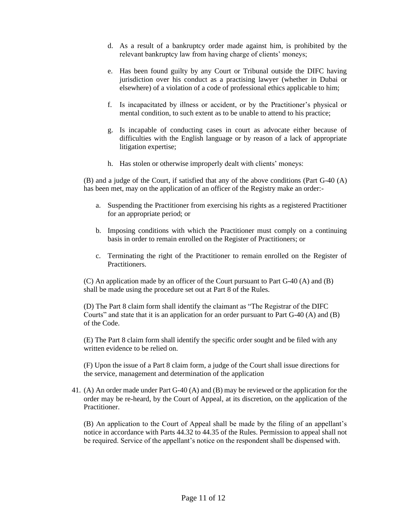- d. As a result of a bankruptcy order made against him, is prohibited by the relevant bankruptcy law from having charge of clients' moneys;
- e. Has been found guilty by any Court or Tribunal outside the DIFC having jurisdiction over his conduct as a practising lawyer (whether in Dubai or elsewhere) of a violation of a code of professional ethics applicable to him;
- f. Is incapacitated by illness or accident, or by the Practitioner's physical or mental condition, to such extent as to be unable to attend to his practice;
- g. Is incapable of conducting cases in court as advocate either because of difficulties with the English language or by reason of a lack of appropriate litigation expertise;
- h. Has stolen or otherwise improperly dealt with clients' moneys:

(B) and a judge of the Court, if satisfied that any of the above conditions (Part G-40 (A) has been met, may on the application of an officer of the Registry make an order:-

- a. Suspending the Practitioner from exercising his rights as a registered Practitioner for an appropriate period; or
- b. Imposing conditions with which the Practitioner must comply on a continuing basis in order to remain enrolled on the Register of Practitioners; or
- c. Terminating the right of the Practitioner to remain enrolled on the Register of Practitioners.

(C) An application made by an officer of the Court pursuant to Part G-40 (A) and (B) shall be made using the procedure set out at Part 8 of the Rules.

(D) The Part 8 claim form shall identify the claimant as "The Registrar of the DIFC Courts" and state that it is an application for an order pursuant to Part G-40 (A) and (B) of the Code.

(E) The Part 8 claim form shall identify the specific order sought and be filed with any written evidence to be relied on.

(F) Upon the issue of a Part 8 claim form, a judge of the Court shall issue directions for the service, management and determination of the application

41. (A) An order made under Part G-40 (A) and (B) may be reviewed or the application for the order may be re-heard, by the Court of Appeal, at its discretion, on the application of the Practitioner.

(B) An application to the Court of Appeal shall be made by the filing of an appellant's notice in accordance with Parts 44.32 to 44.35 of the Rules. Permission to appeal shall not be required. Service of the appellant's notice on the respondent shall be dispensed with.